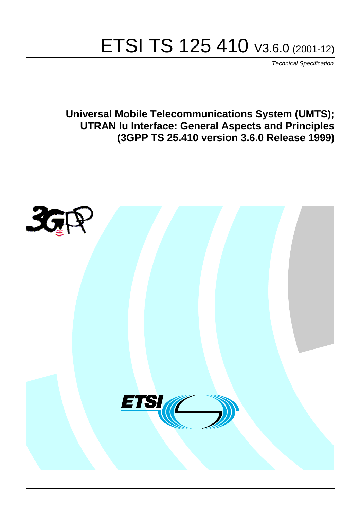# ETSI TS 125 410 V3.6.0 (2001-12)

Technical Specification

**Universal Mobile Telecommunications System (UMTS); UTRAN Iu Interface: General Aspects and Principles (3GPP TS 25.410 version 3.6.0 Release 1999)**

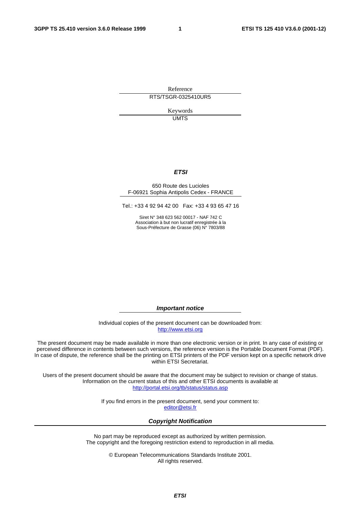Reference RTS/TSGR-0325410UR5

> Keywords **UMTS**

#### **ETSI**

#### 650 Route des Lucioles F-06921 Sophia Antipolis Cedex - FRANCE

Tel.: +33 4 92 94 42 00 Fax: +33 4 93 65 47 16

Siret N° 348 623 562 00017 - NAF 742 C Association à but non lucratif enregistrée à la Sous-Préfecture de Grasse (06) N° 7803/88

**Important notice** 

Individual copies of the present document can be downloaded from: [http://www.etsi.org](http://www.etsi.org/)

The present document may be made available in more than one electronic version or in print. In any case of existing or perceived difference in contents between such versions, the reference version is the Portable Document Format (PDF). In case of dispute, the reference shall be the printing on ETSI printers of the PDF version kept on a specific network drive within ETSI Secretariat.

Users of the present document should be aware that the document may be subject to revision or change of status. Information on the current status of this and other ETSI documents is available at <http://portal.etsi.org/tb/status/status.asp>

> If you find errors in the present document, send your comment to: [editor@etsi.fr](mailto:editor@etsi.fr)

#### **Copyright Notification**

No part may be reproduced except as authorized by written permission. The copyright and the foregoing restriction extend to reproduction in all media.

> © European Telecommunications Standards Institute 2001. All rights reserved.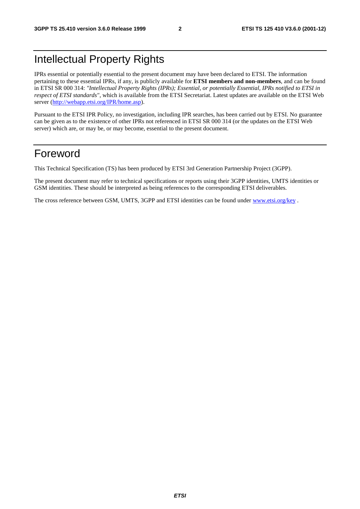# Intellectual Property Rights

IPRs essential or potentially essential to the present document may have been declared to ETSI. The information pertaining to these essential IPRs, if any, is publicly available for **ETSI members and non-members**, and can be found in ETSI SR 000 314: *"Intellectual Property Rights (IPRs); Essential, or potentially Essential, IPRs notified to ETSI in respect of ETSI standards"*, which is available from the ETSI Secretariat. Latest updates are available on the ETSI Web server ([http://webapp.etsi.org/IPR/home.asp\)](http://webapp.etsi.org/IPR/home.asp).

Pursuant to the ETSI IPR Policy, no investigation, including IPR searches, has been carried out by ETSI. No guarantee can be given as to the existence of other IPRs not referenced in ETSI SR 000 314 (or the updates on the ETSI Web server) which are, or may be, or may become, essential to the present document.

# Foreword

This Technical Specification (TS) has been produced by ETSI 3rd Generation Partnership Project (3GPP).

The present document may refer to technical specifications or reports using their 3GPP identities, UMTS identities or GSM identities. These should be interpreted as being references to the corresponding ETSI deliverables.

The cross reference between GSM, UMTS, 3GPP and ETSI identities can be found under [www.etsi.org/key](http://www.etsi.org/key) .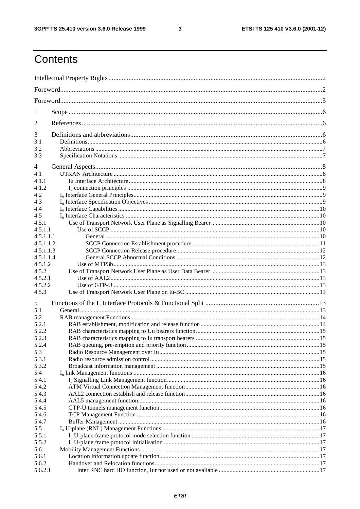$\mathbf{3}$ 

# Contents

| 1              |  |  |  |
|----------------|--|--|--|
| 2              |  |  |  |
| 3              |  |  |  |
| 3.1<br>3.2     |  |  |  |
| 3.3            |  |  |  |
| 4              |  |  |  |
| 4.1            |  |  |  |
| 4.1.1          |  |  |  |
| 4.1.2          |  |  |  |
| 4.2            |  |  |  |
| 4.3            |  |  |  |
| 4.4<br>4.5     |  |  |  |
| 4.5.1          |  |  |  |
| 4.5.1.1        |  |  |  |
| 4.5.1.1.1      |  |  |  |
| 4.5.1.1.2      |  |  |  |
| 4.5.1.1.3      |  |  |  |
| 4.5.1.1.4      |  |  |  |
| 4.5.1.2        |  |  |  |
| 4.5.2          |  |  |  |
| 4.5.2.1        |  |  |  |
| 4.5.2.2        |  |  |  |
| 4.5.3          |  |  |  |
| 5              |  |  |  |
| 5.1            |  |  |  |
| 5.2            |  |  |  |
| 5.2.1          |  |  |  |
| 5.2.2          |  |  |  |
| 5.2.3<br>5.2.4 |  |  |  |
| 5.3            |  |  |  |
| 5.3.1          |  |  |  |
| 5.3.2          |  |  |  |
| 5.4            |  |  |  |
| 5.4.1          |  |  |  |
| 5.4.2          |  |  |  |
| 5.4.3          |  |  |  |
| 5.4.4          |  |  |  |
| 5.4.5          |  |  |  |
| 5.4.6          |  |  |  |
| 5.4.7          |  |  |  |
| 5.5            |  |  |  |
| 5.5.1          |  |  |  |
| 5.5.2          |  |  |  |
| 5.6<br>5.6.1   |  |  |  |
| 5.6.2          |  |  |  |
| 5.6.2.1        |  |  |  |
|                |  |  |  |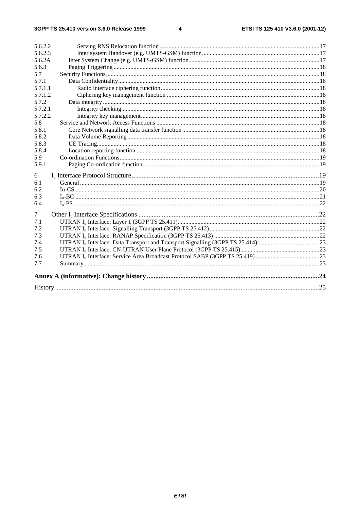#### $\overline{\mathbf{4}}$

| 5.6.2.2 |  |
|---------|--|
| 5.6.2.3 |  |
| 5.6.2A  |  |
| 5.6.3   |  |
| 5.7     |  |
| 5.7.1   |  |
| 5.7.1.1 |  |
| 5.7.1.2 |  |
| 5.7.2   |  |
| 5.7.2.1 |  |
| 5.7.2.2 |  |
| 5.8     |  |
| 5.8.1   |  |
| 5.8.2   |  |
| 5.8.3   |  |
| 5.8.4   |  |
| 5.9     |  |
| 5.9.1   |  |
| 6       |  |
| 6.1     |  |
| 6.2     |  |
| 6.3     |  |
| 6.4     |  |
| 7       |  |
| 7.1     |  |
| 7.2     |  |
| 7.3     |  |
| 7.4     |  |
| 7.5     |  |
| 7.6     |  |
| 7.7     |  |
|         |  |
|         |  |
|         |  |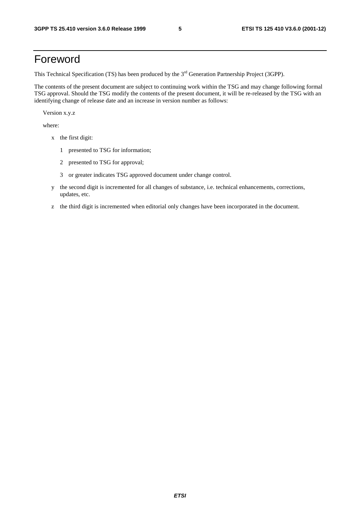# Foreword

This Technical Specification (TS) has been produced by the 3<sup>rd</sup> Generation Partnership Project (3GPP).

The contents of the present document are subject to continuing work within the TSG and may change following formal TSG approval. Should the TSG modify the contents of the present document, it will be re-released by the TSG with an identifying change of release date and an increase in version number as follows:

Version x.y.z

where:

- x the first digit:
	- 1 presented to TSG for information;
	- 2 presented to TSG for approval;
	- 3 or greater indicates TSG approved document under change control.
- y the second digit is incremented for all changes of substance, i.e. technical enhancements, corrections, updates, etc.
- z the third digit is incremented when editorial only changes have been incorporated in the document.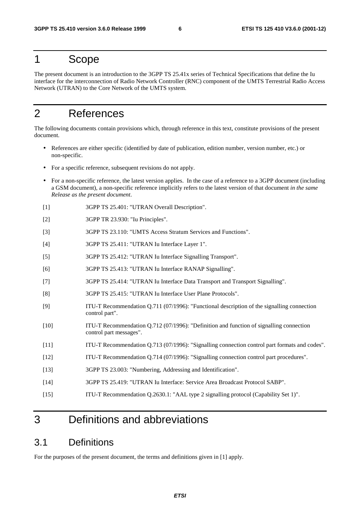### 1 Scope

The present document is an introduction to the 3GPP TS 25.41x series of Technical Specifications that define the Iu interface for the interconnection of Radio Network Controller (RNC) component of the UMTS Terrestrial Radio Access Network (UTRAN) to the Core Network of the UMTS system.

# 2 References

The following documents contain provisions which, through reference in this text, constitute provisions of the present document.

- References are either specific (identified by date of publication, edition number, version number, etc.) or non-specific.
- For a specific reference, subsequent revisions do not apply.
- For a non-specific reference, the latest version applies. In the case of a reference to a 3GPP document (including a GSM document), a non-specific reference implicitly refers to the latest version of that document *in the same Release as the present document*.
- [1] 3GPP TS 25.401: "UTRAN Overall Description".
- [2] 3GPP TR 23.930: "Iu Principles".
- [3] 3GPP TS 23.110: "UMTS Access Stratum Services and Functions".
- [4] 3GPP TS 25.411: "UTRAN Iu Interface Layer 1".
- [5] 3GPP TS 25.412: "UTRAN Iu Interface Signalling Transport".
- [6] 3GPP TS 25.413: "UTRAN Iu Interface RANAP Signalling".
- [7] 3GPP TS 25.414: "UTRAN Iu Interface Data Transport and Transport Signalling".
- [8] 3GPP TS 25.415: "UTRAN Iu Interface User Plane Protocols".
- [9] ITU-T Recommendation Q.711 (07/1996): "Functional description of the signalling connection control part".
- [10] ITU-T Recommendation Q.712 (07/1996): "Definition and function of signalling connection control part messages".
- [11] ITU-T Recommendation Q.713 (07/1996): "Signalling connection control part formats and codes".
- [12] ITU-T Recommendation Q.714 (07/1996): "Signalling connection control part procedures".
- [13] 3GPP TS 23.003: "Numbering, Addressing and Identification".
- [14] 3GPP TS 25.419: "UTRAN Iu Interface: Service Area Broadcast Protocol SABP".
- [15] ITU-T Recommendation Q.2630.1: "AAL type 2 signalling protocol (Capability Set 1)".

# 3 Definitions and abbreviations

### 3.1 Definitions

For the purposes of the present document, the terms and definitions given in [1] apply.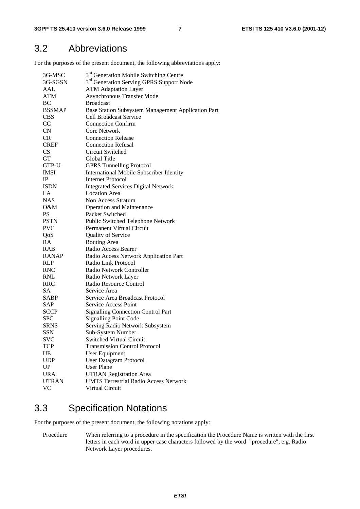### 3.2 Abbreviations

For the purposes of the present document, the following abbreviations apply:

| 3G-MSC        | 3 <sup>rd</sup> Generation Mobile Switching Centre   |  |  |
|---------------|------------------------------------------------------|--|--|
| 3G-SGSN       | 3 <sup>rd</sup> Generation Serving GPRS Support Node |  |  |
| AAL           | <b>ATM Adaptation Layer</b>                          |  |  |
| <b>ATM</b>    | <b>Asynchronous Transfer Mode</b>                    |  |  |
| <b>BC</b>     | <b>Broadcast</b>                                     |  |  |
| <b>BSSMAP</b> | Base Station Subsystem Management Application Part   |  |  |
| <b>CBS</b>    | <b>Cell Broadcast Service</b>                        |  |  |
| CC            | <b>Connection Confirm</b>                            |  |  |
| CN            | <b>Core Network</b>                                  |  |  |
| <b>CR</b>     | <b>Connection Release</b>                            |  |  |
| <b>CREF</b>   | <b>Connection Refusal</b>                            |  |  |
| <b>CS</b>     | Circuit Switched                                     |  |  |
| GT            | Global Title                                         |  |  |
| GTP-U         | <b>GPRS Tunnelling Protocol</b>                      |  |  |
| <b>IMSI</b>   | International Mobile Subscriber Identity             |  |  |
| IP            | <b>Internet Protocol</b>                             |  |  |
| <b>ISDN</b>   | <b>Integrated Services Digital Network</b>           |  |  |
| LA            | <b>Location Area</b>                                 |  |  |
| <b>NAS</b>    | Non Access Stratum                                   |  |  |
| 0&M           | <b>Operation and Maintenance</b>                     |  |  |
| <b>PS</b>     | Packet Switched                                      |  |  |
| <b>PSTN</b>   | Public Switched Telephone Network                    |  |  |
| <b>PVC</b>    | Permanent Virtual Circuit                            |  |  |
| QoS           | Quality of Service                                   |  |  |
| RA            | Routing Area                                         |  |  |
| <b>RAB</b>    | Radio Access Bearer                                  |  |  |
| <b>RANAP</b>  | Radio Access Network Application Part                |  |  |
| <b>RLP</b>    | Radio Link Protocol                                  |  |  |
| <b>RNC</b>    | Radio Network Controller                             |  |  |
| <b>RNL</b>    | Radio Network Layer                                  |  |  |
| RRC           | Radio Resource Control                               |  |  |
| <b>SA</b>     | Service Area                                         |  |  |
| <b>SABP</b>   | Service Area Broadcast Protocol                      |  |  |
| SAP           | Service Access Point                                 |  |  |
| <b>SCCP</b>   | <b>Signalling Connection Control Part</b>            |  |  |
| <b>SPC</b>    | <b>Signalling Point Code</b>                         |  |  |
| <b>SRNS</b>   | Serving Radio Network Subsystem                      |  |  |
| SSN           | Sub-System Number                                    |  |  |
| <b>SVC</b>    | Switched Virtual Circuit                             |  |  |
| TCP           | <b>Transmission Control Protocol</b>                 |  |  |
| UE            | <b>User Equipment</b>                                |  |  |
| <b>UDP</b>    | <b>User Datagram Protocol</b>                        |  |  |
| UP            | <b>User Plane</b>                                    |  |  |
| <b>URA</b>    | <b>UTRAN Registration Area</b>                       |  |  |
| <b>UTRAN</b>  | <b>UMTS Terrestrial Radio Access Network</b>         |  |  |
| <b>VC</b>     | Virtual Circuit                                      |  |  |
|               |                                                      |  |  |

# 3.3 Specification Notations

For the purposes of the present document, the following notations apply:

Procedure When referring to a procedure in the specification the Procedure Name is written with the first letters in each word in upper case characters followed by the word "procedure", e.g. Radio Network Layer procedures.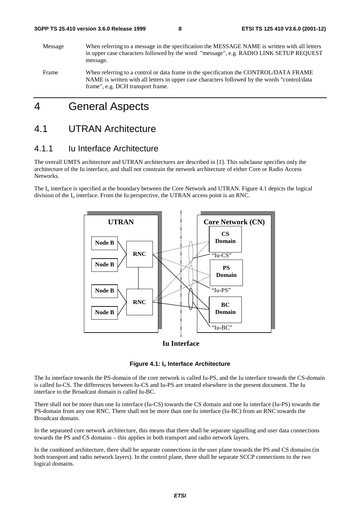Message When referring to a message in the specification the MESSAGE NAME is written with all letters in upper case characters followed by the word "message", e.g. RADIO LINK SETUP REQUEST message. Frame When referring to a control or data frame in the specification the CONTROL/DATA FRAME NAME is written with all letters in upper case characters followed by the words "control/data

# 4 General Aspects

frame", e.g. DCH transport frame.

### 4.1 UTRAN Architecture

#### 4.1.1 Iu Interface Architecture

The overall UMTS architecture and UTRAN architectures are described in [1]. This subclause specifies only the architecture of the Iu interface, and shall not constrain the network architecture of either Core or Radio Access Networks.

The  $I_{\text{u}}$  interface is specified at the boundary between the Core Network and UTRAN. Figure 4.1 depicts the logical division of the  $I_{\nu}$  interface. From the Iu perspective, the UTRAN access point is an RNC.



#### **Iu Interface**

#### **Figure 4.1: Iu Interface Architecture**

The Iu interface towards the PS-domain of the core network is called Iu-PS, and the Iu interface towards the CS-domain is called Iu-CS. The differences between Iu-CS and Iu-PS are treated elsewhere in the present document. The Iu interface to the Broadcast domain is called Iu-BC.

There shall not be more than one Iu interface (Iu-CS) towards the CS domain and one Iu interface (Iu-PS) towards the PS-domain from any one RNC. There shall not be more than one Iu interface (Iu-BC) from an RNC towards the Broadcast domain.

In the separated core network architecture, this means that there shall be separate signalling and user data connections towards the PS and CS domains – this applies in both transport and radio network layers.

In the combined architecture, there shall be separate connections in the user plane towards the PS and CS domains (in both transport and radio network layers). In the control plane, there shall be separate SCCP connections to the two logical domains.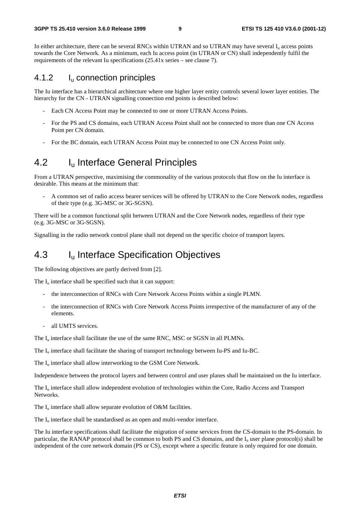In either architecture, there can be several RNCs within UTRAN and so UTRAN may have several I<sub>n</sub> access points towards the Core Network. As a minimum, each Iu access point (in UTRAN or CN) shall independently fulfil the requirements of the relevant Iu specifications (25.41x series – see clause 7).

#### 4.1.2 Iu connection principles

The Iu interface has a hierarchical architecture where one higher layer entity controls several lower layer entities. The hierarchy for the CN - UTRAN signalling connection end points is described below:

- Each CN Access Point may be connected to one or more UTRAN Access Points.
- For the PS and CS domains, each UTRAN Access Point shall not be connected to more than one CN Access Point per CN domain.
- For the BC domain, each UTRAN Access Point may be connected to one CN Access Point only.

### 4.2 I<sub>u</sub> Interface General Principles

From a UTRAN perspective, maximising the commonality of the various protocols that flow on the Iu interface is desirable. This means at the minimum that:

- A common set of radio access bearer services will be offered by UTRAN to the Core Network nodes, regardless of their type (e.g. 3G-MSC or 3G-SGSN).

There will be a common functional split between UTRAN and the Core Network nodes, regardless of their type (e.g. 3G-MSC or 3G-SGSN).

Signalling in the radio network control plane shall not depend on the specific choice of transport layers.

### 4.3 Iu Interface Specification Objectives

The following objectives are partly derived from [2].

The  $I_{\nu}$  interface shall be specified such that it can support:

- the interconnection of RNCs with Core Network Access Points within a single PLMN.
- the interconnection of RNCs with Core Network Access Points irrespective of the manufacturer of any of the elements.
- all UMTS services.

The  $I_u$  interface shall facilitate the use of the same RNC, MSC or SGSN in all PLMNs.

The Iu interface shall facilitate the sharing of transport technology between Iu-PS and Iu-BC.

The I<sub>u</sub> interface shall allow interworking to the GSM Core Network.

Independence between the protocol layers and between control and user planes shall be maintained on the Iu interface.

The  $I_{\text{u}}$  interface shall allow independent evolution of technologies within the Core, Radio Access and Transport Networks.

The  $I_{\text{u}}$  interface shall allow separate evolution of O&M facilities.

The  $I_u$  interface shall be standardised as an open and multi-vendor interface.

The Iu interface specifications shall facilitate the migration of some services from the CS-domain to the PS-domain. In particular, the RANAP protocol shall be common to both PS and CS domains, and the  $I_u$  user plane protocol(s) shall be independent of the core network domain (PS or CS), except where a specific feature is only required for one domain.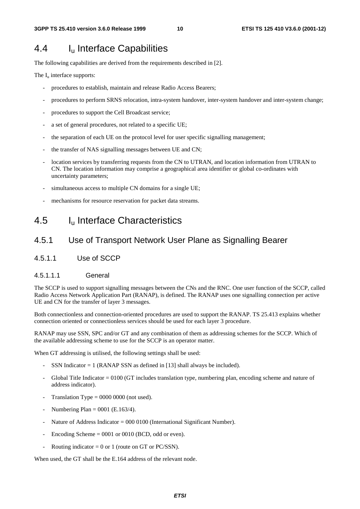### 4.4 Iu Interface Capabilities

The following capabilities are derived from the requirements described in [2].

The  $I_u$  interface supports:

- procedures to establish, maintain and release Radio Access Bearers;
- procedures to perform SRNS relocation, intra-system handover, inter-system handover and inter-system change;
- procedures to support the Cell Broadcast service;
- a set of general procedures, not related to a specific UE;
- the separation of each UE on the protocol level for user specific signalling management;
- the transfer of NAS signalling messages between UE and CN;
- location services by transferring requests from the CN to UTRAN, and location information from UTRAN to CN. The location information may comprise a geographical area identifier or global co-ordinates with uncertainty parameters;
- simultaneous access to multiple CN domains for a single UE;
- mechanisms for resource reservation for packet data streams.

### 4.5 Iu Interface Characteristics

#### 4.5.1 Use of Transport Network User Plane as Signalling Bearer

4.5.1.1 Use of SCCP

#### 4.5.1.1.1 General

The SCCP is used to support signalling messages between the CNs and the RNC. One user function of the SCCP, called Radio Access Network Application Part (RANAP), is defined. The RANAP uses one signalling connection per active UE and CN for the transfer of layer 3 messages.

Both connectionless and connection-oriented procedures are used to support the RANAP. TS 25.413 explains whether connection oriented or connectionless services should be used for each layer 3 procedure.

RANAP may use SSN, SPC and/or GT and any combination of them as addressing schemes for the SCCP. Which of the available addressing scheme to use for the SCCP is an operator matter.

When GT addressing is utilised, the following settings shall be used:

- SSN Indicator  $= 1$  (RANAP SSN as defined in [13] shall always be included).
- Global Title Indicator = 0100 (GT includes translation type, numbering plan, encoding scheme and nature of address indicator).
- Translation Type  $= 0000 0000$  (not used).
- Numbering Plan =  $0001$  (E.163/4).
- Nature of Address Indicator = 000 0100 (International Significant Number).
- Encoding Scheme  $= 0001$  or 0010 (BCD, odd or even).
- Routing indicator = 0 or 1 (route on GT or PC/SSN).

When used, the GT shall be the E.164 address of the relevant node.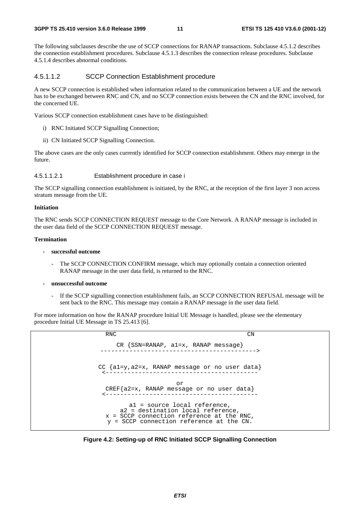The following subclauses describe the use of SCCP connections for RANAP transactions. Subclause 4.5.1.2 describes the connection establishment procedures. Subclause 4.5.1.3 describes the connection release procedures. Subclause 4.5.1.4 describes abnormal conditions.

#### 4.5.1.1.2 SCCP Connection Establishment procedure

A new SCCP connection is established when information related to the communication between a UE and the network has to be exchanged between RNC and CN, and no SCCP connection exists between the CN and the RNC involved, for the concerned UE.

Various SCCP connection establishment cases have to be distinguished:

- i) RNC Initiated SCCP Signalling Connection;
- ii) CN Initiated SCCP Signalling Connection.

The above cases are the only cases currently identified for SCCP connection establishment. Others may emerge in the future.

#### 4.5.1.1.2.1 Establishment procedure in case i

The SCCP signalling connection establishment is initiated, by the RNC, at the reception of the first layer 3 non access stratum message from the UE.

#### **Initiation**

The RNC sends SCCP CONNECTION REQUEST message to the Core Network. A RANAP message is included in the user data field of the SCCP CONNECTION REQUEST message.

#### **Termination**

- **successful outcome** 
	- The SCCP CONNECTION CONFIRM message, which may optionally contain a connection oriented RANAP message in the user data field, is returned to the RNC.
- **unsuccessful outcome** 
	- If the SCCP signalling connection establishment fails, an SCCP CONNECTION REFUSAL message will be sent back to the RNC. This message may contain a RANAP message in the user data field.

For more information on how the RANAP procedure Initial UE Message is handled, please see the elementary procedure Initial UE Message in TS 25.413 [6].

| <b>RNC</b>                                                                                                                                                   | CΝ |
|--------------------------------------------------------------------------------------------------------------------------------------------------------------|----|
| CR $\{SSN=RANAP, a1=x, RANAP message\}$                                                                                                                      |    |
| CC $\{a1=y, a2=x, RANAP message or no user data\}$                                                                                                           |    |
| or<br>CREF ${az=x, RANAP message or no user data}$                                                                                                           |    |
| al = source local reference,<br>a2 = destination local reference,<br>$x = SCCP$ connection reference at the RNC,<br>y = SCCP connection reference at the CN. |    |

**Figure 4.2: Setting-up of RNC Initiated SCCP Signalling Connection**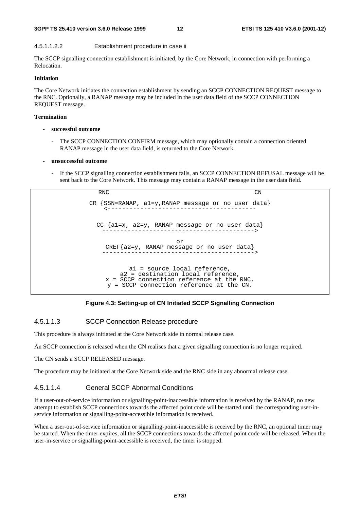#### **3GPP TS 25.410 version 3.6.0 Release 1999 12 ETSI TS 125 410 V3.6.0 (2001-12)**

#### 4.5.1.1.2.2 Establishment procedure in case ii

The SCCP signalling connection establishment is initiated, by the Core Network, in connection with performing a Relocation.

#### **Initiation**

The Core Network initiates the connection establishment by sending an SCCP CONNECTION REQUEST message to the RNC. Optionally, a RANAP message may be included in the user data field of the SCCP CONNECTION REQUEST message.

#### **Termination**

- **successful outcome** 
	- The SCCP CONNECTION CONFIRM message, which may optionally contain a connection oriented RANAP message in the user data field, is returned to the Core Network.

#### **- unsuccessful outcome**

If the SCCP signalling connection establishment fails, an SCCP CONNECTION REFUSAL message will be sent back to the Core Network. This message may contain a RANAP message in the user data field.

RNC CN CR {SSN=RANAP, a1=y,RANAP message or no user data} <----------------------------------------- CC {a1=x, a2=y, RANAP message or no user data} ------------------------------------------> or CREF{a2=y, RANAP message or no user data} ------------------------------------------> a1 = source local reference, a2 = destination local reference, x = SCCP connection reference at the RNC, y = SCCP connection reference at the CN.

#### **Figure 4.3: Setting-up of CN Initiated SCCP Signalling Connection**

#### 4.5.1.1.3 SCCP Connection Release procedure

This procedure is always initiated at the Core Network side in normal release case.

An SCCP connection is released when the CN realises that a given signalling connection is no longer required.

The CN sends a SCCP RELEASED message.

The procedure may be initiated at the Core Network side and the RNC side in any abnormal release case.

#### 4.5.1.1.4 General SCCP Abnormal Conditions

If a user-out-of-service information or signalling-point-inaccessible information is received by the RANAP, no new attempt to establish SCCP connections towards the affected point code will be started until the corresponding user-inservice information or signalling-point-accessible information is received.

When a user-out-of-service information or signalling-point-inaccessible is received by the RNC, an optional timer may be started. When the timer expires, all the SCCP connections towards the affected point code will be released. When the user-in-service or signalling-point-accessible is received, the timer is stopped.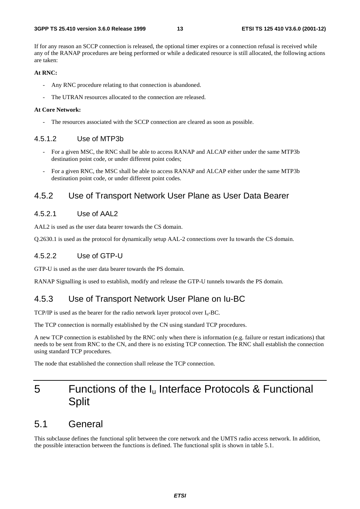If for any reason an SCCP connection is released, the optional timer expires or a connection refusal is received while any of the RANAP procedures are being performed or while a dedicated resource is still allocated, the following actions are taken:

#### **At RNC:**

- Any RNC procedure relating to that connection is abandoned.
- The UTRAN resources allocated to the connection are released.

#### **At Core Network:**

The resources associated with the SCCP connection are cleared as soon as possible.

#### 4.5.1.2 Use of MTP3b

- For a given MSC, the RNC shall be able to access RANAP and ALCAP either under the same MTP3b destination point code, or under different point codes;
- For a given RNC, the MSC shall be able to access RANAP and ALCAP either under the same MTP3b destination point code, or under different point codes.

#### 4.5.2 Use of Transport Network User Plane as User Data Bearer

#### 4.5.2.1 Use of AAL2

AAL2 is used as the user data bearer towards the CS domain.

Q.2630.1 is used as the protocol for dynamically setup AAL-2 connections over Iu towards the CS domain.

#### 4.5.2.2 Use of GTP-U

GTP-U is used as the user data bearer towards the PS domain.

RANAP Signalling is used to establish, modify and release the GTP-U tunnels towards the PS domain.

#### 4.5.3 Use of Transport Network User Plane on Iu-BC

TCP/IP is used as the bearer for the radio network layer protocol over  $I_u$ -BC.

The TCP connection is normally established by the CN using standard TCP procedures.

A new TCP connection is established by the RNC only when there is information (e.g. failure or restart indications) that needs to be sent from RNC to the CN, and there is no existing TCP connection. The RNC shall establish the connection using standard TCP procedures.

The node that established the connection shall release the TCP connection.

# 5 Functions of the  $I_u$  Interface Protocols & Functional **Split**

### 5.1 General

This subclause defines the functional split between the core network and the UMTS radio access network. In addition, the possible interaction between the functions is defined. The functional split is shown in table 5.1.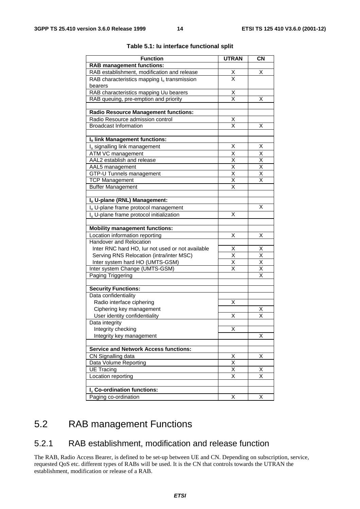| <b>Function</b>                                      | <b>UTRAN</b>                                       | <b>CN</b>                                          |
|------------------------------------------------------|----------------------------------------------------|----------------------------------------------------|
| <b>RAB management functions:</b>                     |                                                    |                                                    |
| RAB establishment, modification and release          | <u>х</u>                                           | X                                                  |
| RAB characteristics mapping $I_u$ transmission       | $\overline{\mathsf{x}}$                            |                                                    |
| bearers                                              |                                                    |                                                    |
| RAB characteristics mapping Uu bearers               | $\times$                                           |                                                    |
| RAB queuing, pre-emption and priority                | X                                                  | х                                                  |
|                                                      |                                                    |                                                    |
| <b>Radio Resource Management functions:</b>          |                                                    |                                                    |
| Radio Resource admission control                     | Χ                                                  |                                                    |
| <b>Broadcast Information</b>                         | $\overline{\mathsf{x}}$                            | Χ                                                  |
|                                                      |                                                    |                                                    |
| Iu link Management functions:                        |                                                    |                                                    |
| I <sub>u</sub> signalling link management            | х                                                  | х                                                  |
| ATM VC management                                    | X                                                  | $\overline{\mathsf{x}}$                            |
| AAL2 establish and release                           | $\overline{\mathsf{x}}$                            | $\overline{\mathsf{x}}$                            |
| AAL5 management                                      | $\overline{\mathsf{x}}$<br>$\overline{\mathsf{x}}$ | $\overline{\mathsf{x}}$<br>$\overline{\mathsf{x}}$ |
| GTP-U Tunnels management                             | $\overline{\mathsf{x}}$                            | $\overline{\mathsf{x}}$                            |
| <b>TCP Management</b><br><b>Buffer Management</b>    | X                                                  |                                                    |
|                                                      |                                                    |                                                    |
| Iu U-plane (RNL) Management:                         |                                                    |                                                    |
| I <sub>u</sub> U-plane frame protocol management     |                                                    | X                                                  |
| I <sub>n</sub> U-plane frame protocol initialization | X                                                  |                                                    |
|                                                      |                                                    |                                                    |
| <b>Mobility management functions:</b>                |                                                    |                                                    |
| Location information reporting                       | X                                                  | х                                                  |
| Handover and Relocation                              |                                                    |                                                    |
| Inter RNC hard HO, lur not used or not available     | Χ                                                  | Χ                                                  |
| Serving RNS Relocation (intra/inter MSC)             | $\overline{\mathsf{x}}$                            | $\overline{\mathsf{x}}$                            |
| Inter system hard HO (UMTS-GSM)                      | X                                                  | $\overline{\mathsf{x}}$                            |
| Inter system Change (UMTS-GSM)                       | $\overline{\mathsf{x}}$                            | $\overline{\mathsf{x}}$                            |
| Paging Triggering                                    |                                                    | $\overline{\mathsf{x}}$                            |
|                                                      |                                                    |                                                    |
| <b>Security Functions:</b>                           |                                                    |                                                    |
| Data confidentiality<br>Radio interface ciphering    | Χ                                                  |                                                    |
| Ciphering key management                             |                                                    | X                                                  |
| User identity confidentiality                        | Χ                                                  | $\overline{\mathsf{x}}$                            |
| Data integrity                                       |                                                    |                                                    |
| Integrity checking                                   | Χ                                                  |                                                    |
| Integrity key management                             |                                                    | Χ                                                  |
|                                                      |                                                    |                                                    |
| <b>Service and Network Access functions:</b>         |                                                    |                                                    |
| CN Signalling data                                   | X                                                  | Χ                                                  |
| Data Volume Reporting                                | Χ                                                  |                                                    |
| <b>UE Tracing</b>                                    | $\overline{\mathsf{x}}$                            | х                                                  |
| Location reporting                                   | $\overline{\mathsf{x}}$                            | $\overline{\mathsf{x}}$                            |
|                                                      |                                                    |                                                    |
| I <sub>u</sub> Co-ordination functions:              |                                                    |                                                    |
| Paging co-ordination                                 | Χ                                                  | X                                                  |

#### **Table 5.1: Iu interface functional split**

# 5.2 RAB management Functions

### 5.2.1 RAB establishment, modification and release function

The RAB, Radio Access Bearer, is defined to be set-up between UE and CN. Depending on subscription, service, requested QoS etc. different types of RABs will be used. It is the CN that controls towards the UTRAN the establishment, modification or release of a RAB.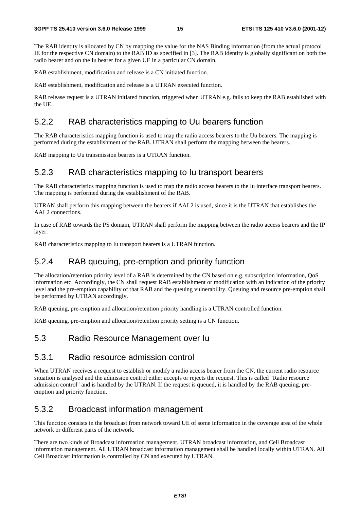The RAB identity is allocated by CN by mapping the value for the NAS Binding information (from the actual protocol IE for the respective CN domain) to the RAB ID as specified in [3]. The RAB identity is globally significant on both the radio bearer and on the Iu bearer for a given UE in a particular CN domain.

RAB establishment, modification and release is a CN initiated function.

RAB establishment, modification and release is a UTRAN executed function.

RAB release request is a UTRAN initiated function, triggered when UTRAN e.g. fails to keep the RAB established with the UE.

#### 5.2.2 RAB characteristics mapping to Uu bearers function

The RAB characteristics mapping function is used to map the radio access bearers to the Uu bearers. The mapping is performed during the establishment of the RAB. UTRAN shall perform the mapping between the bearers.

RAB mapping to Uu transmission bearers is a UTRAN function.

#### 5.2.3 RAB characteristics mapping to Iu transport bearers

The RAB characteristics mapping function is used to map the radio access bearers to the Iu interface transport bearers. The mapping is performed during the establishment of the RAB.

UTRAN shall perform this mapping between the bearers if AAL2 is used, since it is the UTRAN that establishes the AAL2 connections.

In case of RAB towards the PS domain, UTRAN shall perform the mapping between the radio access bearers and the IP layer.

RAB characteristics mapping to Iu transport bearers is a UTRAN function.

### 5.2.4 RAB queuing, pre-emption and priority function

The allocation/retention priority level of a RAB is determined by the CN based on e.g. subscription information, QoS information etc. Accordingly, the CN shall request RAB establishment or modification with an indication of the priority level and the pre-emption capability of that RAB and the queuing vulnerability. Queuing and resource pre-emption shall be performed by UTRAN accordingly.

RAB queuing, pre-emption and allocation/retention priority handling is a UTRAN controlled function.

RAB queuing, pre-emption and allocation/retention priority setting is a CN function.

#### 5.3 Radio Resource Management over Iu

#### 5.3.1 Radio resource admission control

When UTRAN receives a request to establish or modify a radio access bearer from the CN, the current radio resource situation is analysed and the admission control either accepts or rejects the request. This is called "Radio resource admission control" and is handled by the UTRAN. If the request is queued, it is handled by the RAB queuing, preemption and priority function.

### 5.3.2 Broadcast information management

This function consists in the broadcast from network toward UE of some information in the coverage area of the whole network or different parts of the network.

There are two kinds of Broadcast information management. UTRAN broadcast information, and Cell Broadcast information management. All UTRAN broadcast information management shall be handled locally within UTRAN. All Cell Broadcast information is controlled by CN and executed by UTRAN.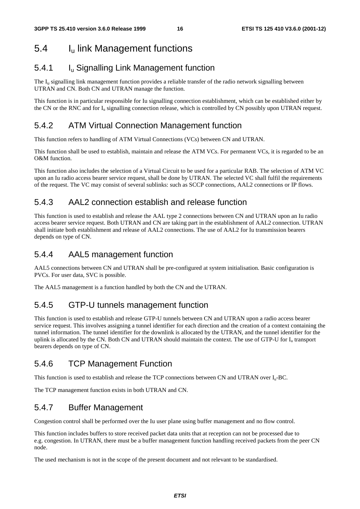# 5.4 Iu link Management functions

### 5.4.1 Iu Signalling Link Management function

The  $I<sub>u</sub>$  signalling link management function provides a reliable transfer of the radio network signalling between UTRAN and CN. Both CN and UTRAN manage the function.

This function is in particular responsible for Iu signalling connection establishment, which can be established either by the CN or the RNC and for  $I_u$  signalling connection release, which is controlled by CN possibly upon UTRAN request.

### 5.4.2 ATM Virtual Connection Management function

This function refers to handling of ATM Virtual Connections (VCs) between CN and UTRAN.

This function shall be used to establish, maintain and release the ATM VCs. For permanent VCs, it is regarded to be an O&M function.

This function also includes the selection of a Virtual Circuit to be used for a particular RAB. The selection of ATM VC upon an Iu radio access bearer service request, shall be done by UTRAN. The selected VC shall fulfil the requirements of the request. The VC may consist of several sublinks: such as SCCP connections, AAL2 connections or IP flows.

### 5.4.3 AAL2 connection establish and release function

This function is used to establish and release the AAL type 2 connections between CN and UTRAN upon an Iu radio access bearer service request. Both UTRAN and CN are taking part in the establishment of AAL2 connection. UTRAN shall initiate both establishment and release of AAL2 connections. The use of AAL2 for Iu transmission bearers depends on type of CN.

### 5.4.4 AAL5 management function

AAL5 connections between CN and UTRAN shall be pre-configured at system initialisation. Basic configuration is PVCs. For user data, SVC is possible.

The AAL5 management is a function handled by both the CN and the UTRAN.

### 5.4.5 GTP-U tunnels management function

This function is used to establish and release GTP-U tunnels between CN and UTRAN upon a radio access bearer service request. This involves assigning a tunnel identifier for each direction and the creation of a context containing the tunnel information. The tunnel identifier for the downlink is allocated by the UTRAN, and the tunnel identifier for the uplink is allocated by the CN. Both CN and UTRAN should maintain the context. The use of GTP-U for  $I<sub>u</sub>$  transport bearers depends on type of CN.

### 5.4.6 TCP Management Function

This function is used to establish and release the TCP connections between CN and UTRAN over  $I_{u}$ -BC.

The TCP management function exists in both UTRAN and CN.

### 5.4.7 Buffer Management

Congestion control shall be performed over the Iu user plane using buffer management and no flow control.

This function includes buffers to store received packet data units that at reception can not be processed due to e.g. congestion. In UTRAN, there must be a buffer management function handling received packets from the peer CN node.

The used mechanism is not in the scope of the present document and not relevant to be standardised.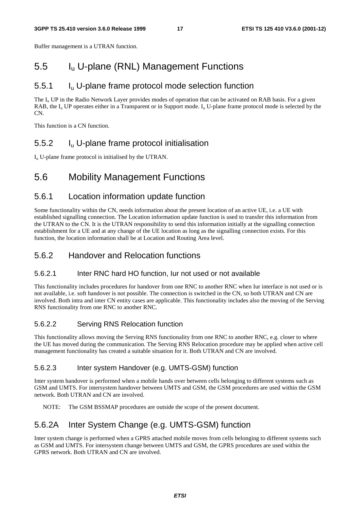Buffer management is a UTRAN function.

### 5.5 Iu U-plane (RNL) Management Functions

### 5.5.1 Iu U-plane frame protocol mode selection function

The  $I_{\rm u}$  UP in the Radio Network Layer provides modes of operation that can be activated on RAB basis. For a given RAB, the  $I_{\text{u}}$  UP operates either in a Transparent or in Support mode.  $I_{\text{u}}$  U-plane frame protocol mode is selected by the CN.

This function is a CN function.

### 5.5.2 Iu U-plane frame protocol initialisation

 $I<sub>u</sub>$  U-plane frame protocol is initialised by the UTRAN.

### 5.6 Mobility Management Functions

#### 5.6.1 Location information update function

Some functionality within the CN, needs information about the present location of an active UE, i.e. a UE with established signalling connection. The Location information update function is used to transfer this information from the UTRAN to the CN. It is the UTRAN responsibility to send this information initially at the signalling connection establishment for a UE and at any change of the UE location as long as the signalling connection exists. For this function, the location information shall be at Location and Routing Area level.

#### 5.6.2 Handover and Relocation functions

#### 5.6.2.1 Inter RNC hard HO function, Iur not used or not available

This functionality includes procedures for handover from one RNC to another RNC when Iur interface is not used or is not available, i.e. soft handover is not possible. The connection is switched in the CN, so both UTRAN and CN are involved. Both intra and inter CN entity cases are applicable. This functionality includes also the moving of the Serving RNS functionality from one RNC to another RNC.

#### 5.6.2.2 Serving RNS Relocation function

This functionality allows moving the Serving RNS functionality from one RNC to another RNC, e.g. closer to where the UE has moved during the communication. The Serving RNS Relocation procedure may be applied when active cell management functionality has created a suitable situation for it. Both UTRAN and CN are involved.

#### 5.6.2.3 Inter system Handover (e.g. UMTS-GSM) function

Inter system handover is performed when a mobile hands over between cells belonging to different systems such as GSM and UMTS. For intersystem handover between UMTS and GSM, the GSM procedures are used within the GSM network. Both UTRAN and CN are involved.

NOTE: The GSM BSSMAP procedures are outside the scope of the present document.

### 5.6.2A Inter System Change (e.g. UMTS-GSM) function

Inter system change is performed when a GPRS attached mobile moves from cells belonging to different systems such as GSM and UMTS. For intersystem change between UMTS and GSM, the GPRS procedures are used within the GPRS network. Both UTRAN and CN are involved.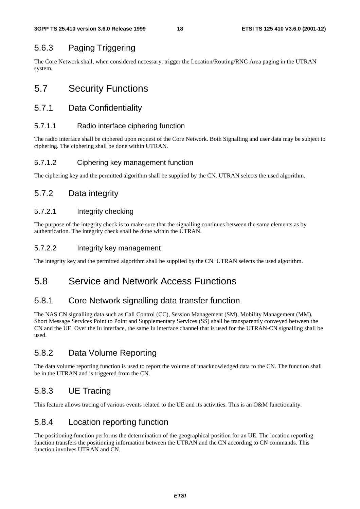### 5.6.3 Paging Triggering

The Core Network shall, when considered necessary, trigger the Location/Routing/RNC Area paging in the UTRAN system.

# 5.7 Security Functions

### 5.7.1 Data Confidentiality

#### 5.7.1.1 Radio interface ciphering function

The radio interface shall be ciphered upon request of the Core Network. Both Signalling and user data may be subject to ciphering. The ciphering shall be done within UTRAN.

#### 5.7.1.2 Ciphering key management function

The ciphering key and the permitted algorithm shall be supplied by the CN. UTRAN selects the used algorithm.

### 5.7.2 Data integrity

#### 5.7.2.1 Integrity checking

The purpose of the integrity check is to make sure that the signalling continues between the same elements as by authentication. The integrity check shall be done within the UTRAN.

#### 5.7.2.2 Integrity key management

The integrity key and the permitted algorithm shall be supplied by the CN. UTRAN selects the used algorithm.

# 5.8 Service and Network Access Functions

### 5.8.1 Core Network signalling data transfer function

The NAS CN signalling data such as Call Control (CC), Session Management (SM), Mobility Management (MM), Short Message Services Point to Point and Supplementary Services (SS) shall be transparently conveyed between the CN and the UE. Over the Iu interface, the same Iu interface channel that is used for the UTRAN-CN signalling shall be used.

### 5.8.2 Data Volume Reporting

The data volume reporting function is used to report the volume of unacknowledged data to the CN. The function shall be in the UTRAN and is triggered from the CN.

### 5.8.3 UE Tracing

This feature allows tracing of various events related to the UE and its activities. This is an O&M functionality.

### 5.8.4 Location reporting function

The positioning function performs the determination of the geographical position for an UE. The location reporting function transfers the positioning information between the UTRAN and the CN according to CN commands. This function involves UTRAN and CN.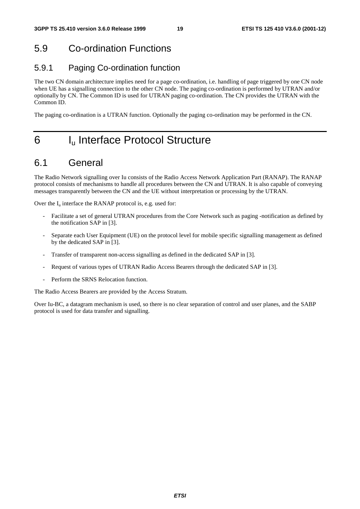# 5.9 Co-ordination Functions

### 5.9.1 Paging Co-ordination function

The two CN domain architecture implies need for a page co-ordination, i.e. handling of page triggered by one CN node when UE has a signalling connection to the other CN node. The paging co-ordination is performed by UTRAN and/or optionally by CN. The Common ID is used for UTRAN paging co-ordination. The CN provides the UTRAN with the Common ID.

The paging co-ordination is a UTRAN function. Optionally the paging co-ordination may be performed in the CN.

# 6 I<sub>u</sub> Interface Protocol Structure

### 6.1 General

The Radio Network signalling over Iu consists of the Radio Access Network Application Part (RANAP). The RANAP protocol consists of mechanisms to handle all procedures between the CN and UTRAN. It is also capable of conveying messages transparently between the CN and the UE without interpretation or processing by the UTRAN.

Over the  $I_u$  interface the RANAP protocol is, e.g. used for:

- Facilitate a set of general UTRAN procedures from the Core Network such as paging -notification as defined by the notification SAP in [3].
- Separate each User Equipment (UE) on the protocol level for mobile specific signalling management as defined by the dedicated SAP in [3].
- Transfer of transparent non-access signalling as defined in the dedicated SAP in [3].
- Request of various types of UTRAN Radio Access Bearers through the dedicated SAP in [3].
- Perform the SRNS Relocation function.

The Radio Access Bearers are provided by the Access Stratum.

Over Iu-BC, a datagram mechanism is used, so there is no clear separation of control and user planes, and the SABP protocol is used for data transfer and signalling.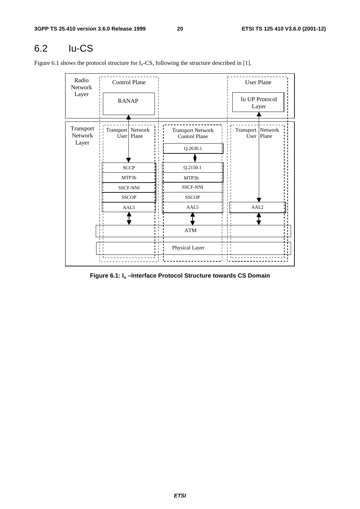# 6.2 Iu-CS

Figure 6.1 shows the protocol structure for  $I_u$ -CS, following the structure described in [1].

| Radio<br>Network<br>Layer     | Control Plane<br><b>RANAP</b> |                                                         |                                                              | <b>User Plane</b>                 |
|-------------------------------|-------------------------------|---------------------------------------------------------|--------------------------------------------------------------|-----------------------------------|
|                               |                               |                                                         |                                                              | <b>Iu UP Protocol</b><br>Layer    |
| Transport<br>Network<br>Layer | Transport   Network           | User   Plane                                            | <b>Transport Network</b><br><b>Control Plane</b><br>Q.2630.1 | Transport Network<br>User   Plane |
|                               |                               | <b>SCCP</b><br>MTP3b<br><b>SSCF-NNI</b><br><b>SSCOP</b> | Q.2150.1<br>MTP3b<br><b>SSCF-NNI</b><br><b>SSCOP</b>         |                                   |
|                               |                               | AAL5                                                    | AAL5<br>$\bold{ATM}$                                         | AAL <sub>2</sub>                  |
| п                             |                               | ı.                                                      | $\mathbf{I}$<br>$\blacksquare$<br>Physical Layer             |                                   |

**Figure 6.1: Iu –Interface Protocol Structure towards CS Domain**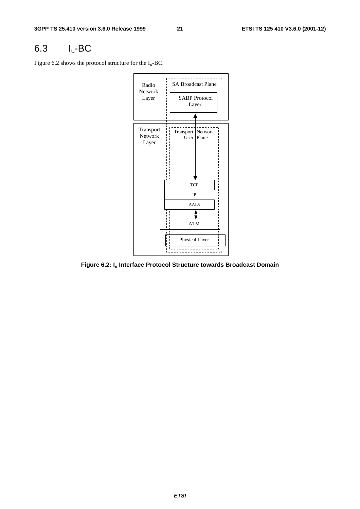# 6.3 Iu-BC

Figure 6.2 shows the protocol structure for the  $I_u$ -BC.



**Figure 6.2: Iu Interface Protocol Structure towards Broadcast Domain**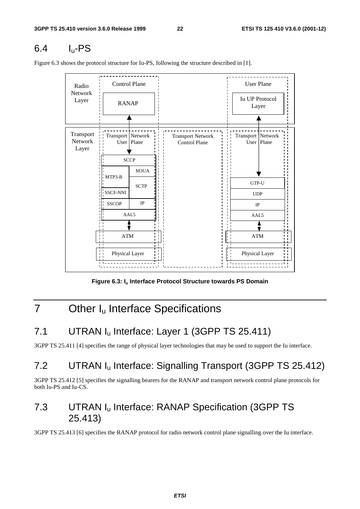# $6.4$  I<sub>u</sub>-PS

<u> - - - - - - - - - - -</u> Control Plane (User Plane Radio Network Iu UP Protocol Layer RANAP Layer Transport Transport Network Transport Network Transport Network Network User Plane Control Plane User Plane Layer **SCCP** M3UA MTP3-B GTP-U **SCTP** SSCF-NNI SSCF-NNI UDP IP **SSCOP** IP AAL5 AAL5 ATM ATM Physical Layer Physical Layer

Figure 6.3 shows the protocol structure for Iu-PS, following the structure described in [1].

Figure 6.3: I<sub>u</sub> Interface Protocol Structure towards PS Domain

# 7 Other I<sub>u</sub> Interface Specifications

# 7.1 UTRAN I<sub>u</sub> Interface: Layer 1 (3GPP TS 25.411)

3GPP TS 25.411 [4] specifies the range of physical layer technologies that may be used to support the Iu interface.

# 7.2 UTRAN Iu Interface: Signalling Transport (3GPP TS 25.412)

3GPP TS 25.412 [5] specifies the signalling bearers for the RANAP and transport network control plane protocols for both Iu-PS and Iu-CS.

### 7.3 UTRAN Iu Interface: RANAP Specification (3GPP TS 25.413)

3GPP TS 25.413 [6] specifies the RANAP protocol for radio network control plane signalling over the Iu interface.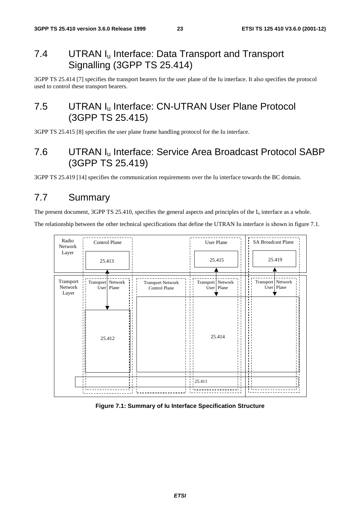### 7.4 UTRAN I<sub>u</sub> Interface: Data Transport and Transport Signalling (3GPP TS 25.414)

3GPP TS 25.414 [7] specifies the transport bearers for the user plane of the Iu interface. It also specifies the protocol used to control these transport bearers.

### 7.5 UTRAN I<sub>u</sub> Interface: CN-UTRAN User Plane Protocol (3GPP TS 25.415)

3GPP TS 25.415 [8] specifies the user plane frame handling protocol for the Iu interface.

### 7.6 UTRAN Iu Interface: Service Area Broadcast Protocol SABP (3GPP TS 25.419)

3GPP TS 25.419 [14] specifies the communication requirements over the Iu interface towards the BC domain.

### 7.7 Summary

The present document, 3GPP TS 25.410, specifies the general aspects and principles of the  $I_u$  interface as a whole.

The relationship between the other technical specifications that define the UTRAN Iu interface is shown in figure 7.1.



**Figure 7.1: Summary of Iu Interface Specification Structure**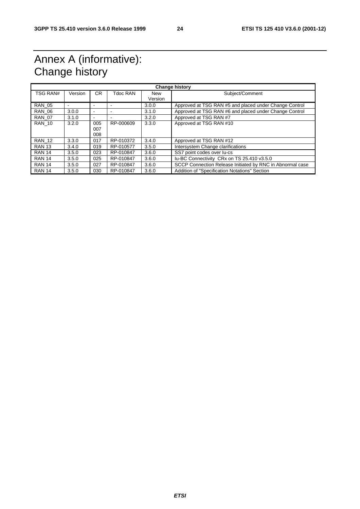# Annex A (informative): Change history

| <b>Change history</b> |         |                          |           |                       |                                                           |
|-----------------------|---------|--------------------------|-----------|-----------------------|-----------------------------------------------------------|
| <b>TSG RAN#</b>       | Version | CR.                      | Tdoc RAN  | <b>New</b><br>Version | Subject/Comment                                           |
| <b>RAN 05</b>         |         |                          |           | 3.0.0                 | Approved at TSG RAN #5 and placed under Change Control    |
| <b>RAN 06</b>         | 3.0.0   | $\overline{\phantom{a}}$ |           | 3.1.0                 | Approved at TSG RAN #6 and placed under Change Control    |
| <b>RAN 07</b>         | 3.1.0   | -                        |           | 3.2.0                 | Approved at TSG RAN #7                                    |
| <b>RAN 10</b>         | 3.2.0   | 005<br>007<br>008        | RP-000609 | 3.3.0                 | Approved at TSG RAN #10                                   |
| <b>RAN 12</b>         | 3.3.0   | 017                      | RP-010372 | 3.4.0                 | Approved at TSG RAN #12                                   |
| <b>RAN 13</b>         | 3.4.0   | 019                      | RP-010577 | 3.5.0                 | Intersystem Change clarifications                         |
| <b>RAN 14</b>         | 3.5.0   | 023                      | RP-010847 | 3.6.0                 | SS7 point codes over lu-cs                                |
| <b>RAN 14</b>         | 3.5.0   | 025                      | RP-010847 | 3.6.0                 | Iu-BC Connectivity CRx on TS 25.410 v3.5.0                |
| <b>RAN 14</b>         | 3.5.0   | 027                      | RP-010847 | 3.6.0                 | SCCP Connection Release Initiated by RNC in Abnormal case |
| <b>RAN 14</b>         | 3.5.0   | 030                      | RP-010847 | 3.6.0                 | Addition of "Specification Notations" Section             |